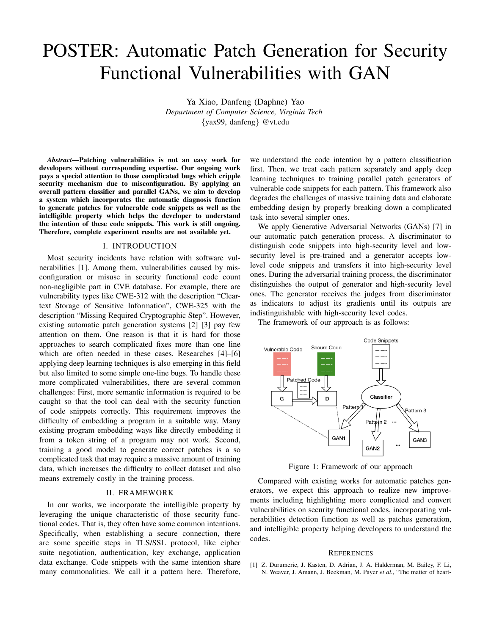## POSTER: Automatic Patch Generation for Security Functional Vulnerabilities with GAN

Ya Xiao, Danfeng (Daphne) Yao *Department of Computer Science, Virginia Tech* {yax99, danfeng} @vt.edu

*Abstract*—Patching vulnerabilities is not an easy work for developers without corresponding expertise. Our ongoing work pays a special attention to those complicated bugs which cripple security mechanism due to misconfiguration. By applying an overall pattern classifier and parallel GANs, we aim to develop a system which incorporates the automatic diagnosis function to generate patches for vulnerable code snippets as well as the intelligible property which helps the developer to understand the intention of these code snippets. This work is still ongoing. Therefore, complete experiment results are not available yet.

## I. INTRODUCTION

Most security incidents have relation with software vulnerabilities [1]. Among them, vulnerabilities caused by misconfiguration or misuse in security functional code count non-negligible part in CVE database. For example, there are vulnerability types like CWE-312 with the description "Cleartext Storage of Sensitive Information", CWE-325 with the description "Missing Required Cryptographic Step". However, existing automatic patch generation systems [2] [3] pay few attention on them. One reason is that it is hard for those approaches to search complicated fixes more than one line which are often needed in these cases. Researches [4]–[6] applying deep learning techniques is also emerging in this field but also limited to some simple one-line bugs. To handle these more complicated vulnerabilities, there are several common challenges: First, more semantic information is required to be caught so that the tool can deal with the security function of code snippets correctly. This requirement improves the difficulty of embedding a program in a suitable way. Many existing program embedding ways like directly embedding it from a token string of a program may not work. Second, training a good model to generate correct patches is a so complicated task that may require a massive amount of training data, which increases the difficulty to collect dataset and also means extremely costly in the training process.

## II. FRAMEWORK

In our works, we incorporate the intelligible property by leveraging the unique characteristic of those security functional codes. That is, they often have some common intentions. Specifically, when establishing a secure connection, there are some specific steps in TLS/SSL protocol, like cipher suite negotiation, authentication, key exchange, application data exchange. Code snippets with the same intention share many commonalities. We call it a pattern here. Therefore,

we understand the code intention by a pattern classification first. Then, we treat each pattern separately and apply deep learning techniques to training parallel patch generators of vulnerable code snippets for each pattern. This framework also degrades the challenges of massive training data and elaborate embedding design by properly breaking down a complicated task into several simpler ones.

We apply Generative Adversarial Networks (GANs) [7] in our automatic patch generation process. A discriminator to distinguish code snippets into high-security level and lowsecurity level is pre-trained and a generator accepts lowlevel code snippets and transfers it into high-security level ones. During the adversarial training process, the discriminator distinguishes the output of generator and high-security level ones. The generator receives the judges from discriminator as indicators to adjust its gradients until its outputs are indistinguishable with high-security level codes.

The framework of our approach is as follows:



Figure 1: Framework of our approach

Compared with existing works for automatic patches generators, we expect this approach to realize new improvements including highlighting more complicated and convert vulnerabilities on security functional codes, incorporating vulnerabilities detection function as well as patches generation, and intelligible property helping developers to understand the codes.

## **REFERENCES**

[1] Z. Durumeric, J. Kasten, D. Adrian, J. A. Halderman, M. Bailey, F. Li, N. Weaver, J. Amann, J. Beekman, M. Payer *et al.*, "The matter of heart